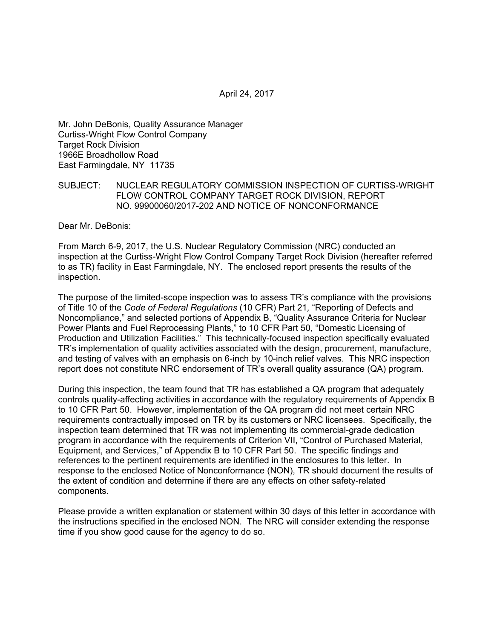April 24, 2017

Mr. John DeBonis, Quality Assurance Manager Curtiss-Wright Flow Control Company Target Rock Division 1966E Broadhollow Road East Farmingdale, NY 11735

#### SUBJECT: NUCLEAR REGULATORY COMMISSION INSPECTION OF CURTISS-WRIGHT FLOW CONTROL COMPANY TARGET ROCK DIVISION, REPORT NO. 99900060/2017-202 AND NOTICE OF NONCONFORMANCE

Dear Mr. DeBonis:

From March 6-9, 2017, the U.S. Nuclear Regulatory Commission (NRC) conducted an inspection at the Curtiss-Wright Flow Control Company Target Rock Division (hereafter referred to as TR) facility in East Farmingdale, NY. The enclosed report presents the results of the inspection.

The purpose of the limited-scope inspection was to assess TR's compliance with the provisions of Title 10 of the *Code of Federal Regulations* (10 CFR) Part 21*,* "Reporting of Defects and Noncompliance," and selected portions of Appendix B, "Quality Assurance Criteria for Nuclear Power Plants and Fuel Reprocessing Plants," to 10 CFR Part 50, "Domestic Licensing of Production and Utilization Facilities." This technically-focused inspection specifically evaluated TR's implementation of quality activities associated with the design, procurement, manufacture, and testing of valves with an emphasis on 6-inch by 10-inch relief valves. This NRC inspection report does not constitute NRC endorsement of TR's overall quality assurance (QA) program.

During this inspection, the team found that TR has established a QA program that adequately controls quality-affecting activities in accordance with the regulatory requirements of Appendix B to 10 CFR Part 50. However, implementation of the QA program did not meet certain NRC requirements contractually imposed on TR by its customers or NRC licensees. Specifically, the inspection team determined that TR was not implementing its commercial-grade dedication program in accordance with the requirements of Criterion VII, "Control of Purchased Material, Equipment, and Services," of Appendix B to 10 CFR Part 50. The specific findings and references to the pertinent requirements are identified in the enclosures to this letter. In response to the enclosed Notice of Nonconformance (NON), TR should document the results of the extent of condition and determine if there are any effects on other safety-related components.

Please provide a written explanation or statement within 30 days of this letter in accordance with the instructions specified in the enclosed NON. The NRC will consider extending the response time if you show good cause for the agency to do so.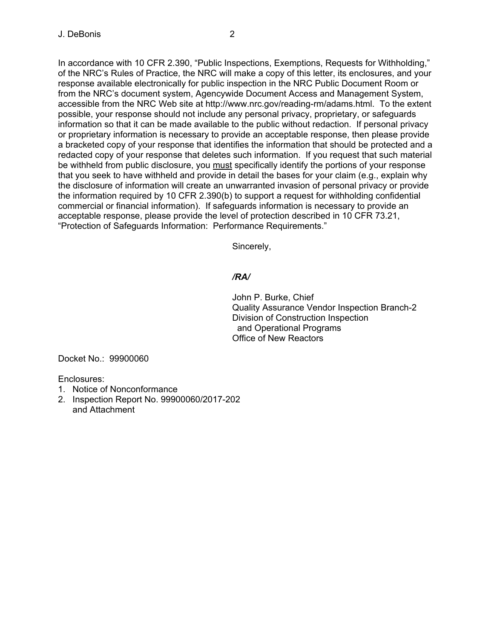In accordance with 10 CFR 2.390, "Public Inspections, Exemptions, Requests for Withholding," of the NRC's Rules of Practice, the NRC will make a copy of this letter, its enclosures, and your response available electronically for public inspection in the NRC Public Document Room or from the NRC's document system, Agencywide Document Access and Management System, accessible from the NRC Web site at http://www.nrc.gov/reading-rm/adams.html. To the extent possible, your response should not include any personal privacy, proprietary, or safeguards information so that it can be made available to the public without redaction. If personal privacy or proprietary information is necessary to provide an acceptable response, then please provide a bracketed copy of your response that identifies the information that should be protected and a redacted copy of your response that deletes such information. If you request that such material be withheld from public disclosure, you must specifically identify the portions of your response that you seek to have withheld and provide in detail the bases for your claim (e.g., explain why the disclosure of information will create an unwarranted invasion of personal privacy or provide the information required by 10 CFR 2.390(b) to support a request for withholding confidential commercial or financial information). If safeguards information is necessary to provide an acceptable response, please provide the level of protection described in 10 CFR 73.21, "Protection of Safeguards Information: Performance Requirements."

Sincerely,

## */RA/*

John P. Burke, Chief Quality Assurance Vendor Inspection Branch-2 Division of Construction Inspection and Operational Programs Office of New Reactors

Docket No.: 99900060

Enclosures:

- 1. Notice of Nonconformance
- 2. Inspection Report No. 99900060/2017-202 and Attachment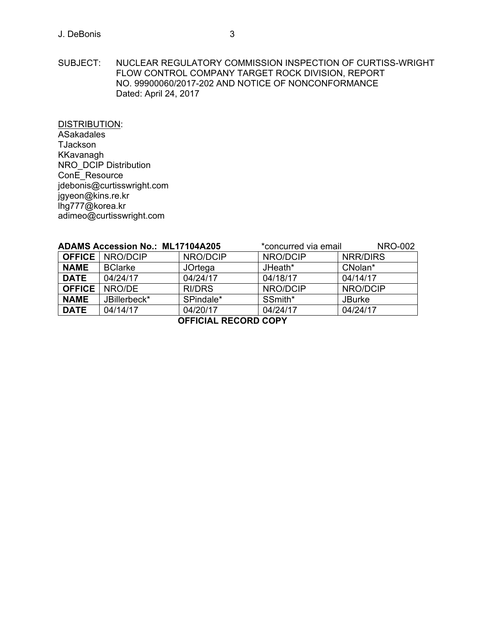### J. DeBonis 3

SUBJECT: NUCLEAR REGULATORY COMMISSION INSPECTION OF CURTISS-WRIGHT FLOW CONTROL COMPANY TARGET ROCK DIVISION, REPORT NO. 99900060/2017-202 AND NOTICE OF NONCONFORMANCE Dated: April 24, 2017

DISTRIBUTION: **ASakadales TJackson** KKavanagh NRO\_DCIP Distribution ConE\_Resource jdebonis@curtisswright.com jgyeon@kins.re.kr lhg777@korea.kr adimeo@curtisswright.com

| <b>ADAMS Accession No.: ML17104A205</b> |                          | *concurred via email | <b>NRO-002</b> |               |  |
|-----------------------------------------|--------------------------|----------------------|----------------|---------------|--|
|                                         | <b>OFFICE</b>   NRO/DCIP | NRO/DCIP             | NRO/DCIP       | NRR/DIRS      |  |
| <b>NAME</b>                             | <b>BClarke</b>           | JOrtega              | JHeath*        | CNolan*       |  |
| <b>DATE</b>                             | 04/24/17                 | 04/24/17             | 04/18/17       | 04/14/17      |  |
| <b>OFFICE</b>                           | NRO/DE                   | <b>RI/DRS</b>        | NRO/DCIP       | NRO/DCIP      |  |
| <b>NAME</b>                             | JBillerbeck*             | SPindale*            | SSmith*        | <b>JBurke</b> |  |
| <b>DATE</b>                             | 04/14/17                 | 04/20/17             | 04/24/17       | 04/24/17      |  |
| <b>OCCICIAL DECODD CODV</b>             |                          |                      |                |               |  |

**OFFICIAL RECORD COPY**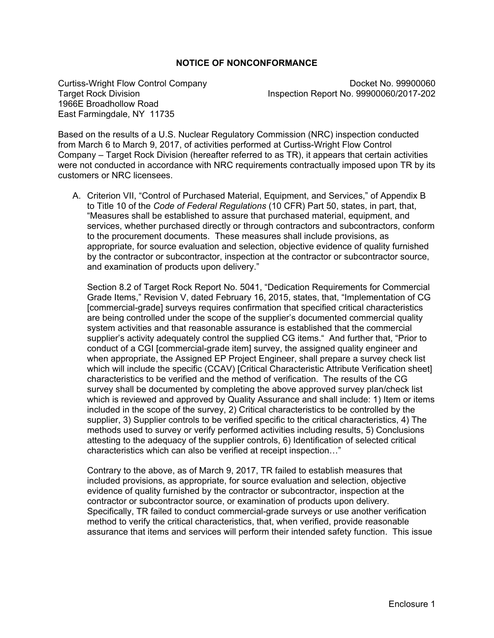## **NOTICE OF NONCONFORMANCE**

1966E Broadhollow Road East Farmingdale, NY 11735

Curtiss-Wright Flow Control Company<br>Target Rock Division **Docket No. 99900060/2017-202** Inspection Report No. 99900060/2017-202

Based on the results of a U.S. Nuclear Regulatory Commission (NRC) inspection conducted from March 6 to March 9, 2017, of activities performed at Curtiss-Wright Flow Control Company – Target Rock Division (hereafter referred to as TR), it appears that certain activities were not conducted in accordance with NRC requirements contractually imposed upon TR by its customers or NRC licensees.

A. Criterion VII, "Control of Purchased Material, Equipment, and Services," of Appendix B to Title 10 of the *Code of Federal Regulations* (10 CFR) Part 50, states, in part, that, "Measures shall be established to assure that purchased material, equipment, and services, whether purchased directly or through contractors and subcontractors, conform to the procurement documents. These measures shall include provisions, as appropriate, for source evaluation and selection, objective evidence of quality furnished by the contractor or subcontractor, inspection at the contractor or subcontractor source, and examination of products upon delivery."

Section 8.2 of Target Rock Report No. 5041, "Dedication Requirements for Commercial Grade Items," Revision V, dated February 16, 2015, states, that, "Implementation of CG [commercial-grade] surveys requires confirmation that specified critical characteristics are being controlled under the scope of the supplier's documented commercial quality system activities and that reasonable assurance is established that the commercial supplier's activity adequately control the supplied CG items." And further that, "Prior to conduct of a CGI [commercial-grade item] survey, the assigned quality engineer and when appropriate, the Assigned EP Project Engineer, shall prepare a survey check list which will include the specific (CCAV) [Critical Characteristic Attribute Verification sheet] characteristics to be verified and the method of verification. The results of the CG survey shall be documented by completing the above approved survey plan/check list which is reviewed and approved by Quality Assurance and shall include: 1) Item or items included in the scope of the survey, 2) Critical characteristics to be controlled by the supplier, 3) Supplier controls to be verified specific to the critical characteristics, 4) The methods used to survey or verify performed activities including results, 5) Conclusions attesting to the adequacy of the supplier controls, 6) Identification of selected critical characteristics which can also be verified at receipt inspection…"

Contrary to the above, as of March 9, 2017, TR failed to establish measures that included provisions, as appropriate, for source evaluation and selection, objective evidence of quality furnished by the contractor or subcontractor, inspection at the contractor or subcontractor source, or examination of products upon delivery. Specifically, TR failed to conduct commercial-grade surveys or use another verification method to verify the critical characteristics, that, when verified, provide reasonable assurance that items and services will perform their intended safety function. This issue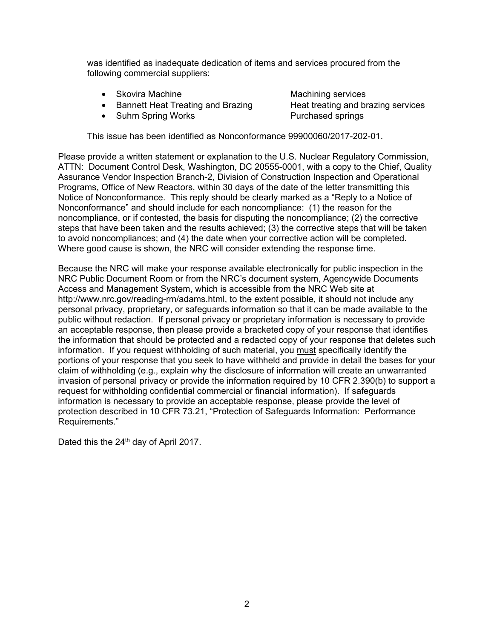was identified as inadequate dedication of items and services procured from the following commercial suppliers:

- Skovira Machine Machining services
- Bannett Heat Treating and Brazing Heat treating and brazing services
- Suhm Spring Works Purchased springs

This issue has been identified as Nonconformance 99900060/2017-202-01.

Please provide a written statement or explanation to the U.S. Nuclear Regulatory Commission, ATTN: Document Control Desk, Washington, DC 20555-0001, with a copy to the Chief, Quality Assurance Vendor Inspection Branch-2, Division of Construction Inspection and Operational Programs, Office of New Reactors, within 30 days of the date of the letter transmitting this Notice of Nonconformance. This reply should be clearly marked as a "Reply to a Notice of Nonconformance" and should include for each noncompliance: (1) the reason for the noncompliance, or if contested, the basis for disputing the noncompliance; (2) the corrective steps that have been taken and the results achieved; (3) the corrective steps that will be taken to avoid noncompliances; and (4) the date when your corrective action will be completed. Where good cause is shown, the NRC will consider extending the response time.

Because the NRC will make your response available electronically for public inspection in the NRC Public Document Room or from the NRC's document system, Agencywide Documents Access and Management System, which is accessible from the NRC Web site at http://www.nrc.gov/reading-rm/adams.html, to the extent possible, it should not include any personal privacy, proprietary, or safeguards information so that it can be made available to the public without redaction. If personal privacy or proprietary information is necessary to provide an acceptable response, then please provide a bracketed copy of your response that identifies the information that should be protected and a redacted copy of your response that deletes such information. If you request withholding of such material, you must specifically identify the portions of your response that you seek to have withheld and provide in detail the bases for your claim of withholding (e.g., explain why the disclosure of information will create an unwarranted invasion of personal privacy or provide the information required by 10 CFR 2.390(b) to support a request for withholding confidential commercial or financial information). If safeguards information is necessary to provide an acceptable response, please provide the level of protection described in 10 CFR 73.21, "Protection of Safeguards Information: Performance Requirements."

Dated this the 24<sup>th</sup> day of April 2017.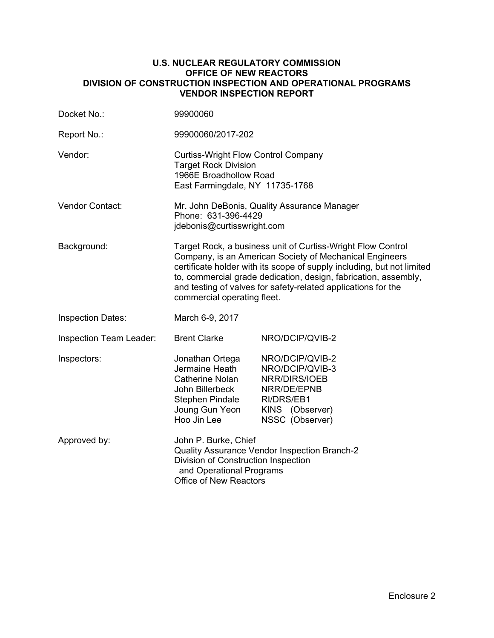### **U.S. NUCLEAR REGULATORY COMMISSION OFFICE OF NEW REACTORS DIVISION OF CONSTRUCTION INSPECTION AND OPERATIONAL PROGRAMS VENDOR INSPECTION REPORT**

| Docket No.:              | 99900060                                                                                                                                                                                                                                                                                                                                                            |                                                                                                                        |  |  |
|--------------------------|---------------------------------------------------------------------------------------------------------------------------------------------------------------------------------------------------------------------------------------------------------------------------------------------------------------------------------------------------------------------|------------------------------------------------------------------------------------------------------------------------|--|--|
| Report No.:              | 99900060/2017-202                                                                                                                                                                                                                                                                                                                                                   |                                                                                                                        |  |  |
| Vendor:                  | <b>Curtiss-Wright Flow Control Company</b><br><b>Target Rock Division</b><br>1966E Broadhollow Road<br>East Farmingdale, NY 11735-1768                                                                                                                                                                                                                              |                                                                                                                        |  |  |
| Vendor Contact:          | Mr. John DeBonis, Quality Assurance Manager<br>Phone: 631-396-4429<br>jdebonis@curtisswright.com                                                                                                                                                                                                                                                                    |                                                                                                                        |  |  |
| Background:              | Target Rock, a business unit of Curtiss-Wright Flow Control<br>Company, is an American Society of Mechanical Engineers<br>certificate holder with its scope of supply including, but not limited<br>to, commercial grade dedication, design, fabrication, assembly,<br>and testing of valves for safety-related applications for the<br>commercial operating fleet. |                                                                                                                        |  |  |
| <b>Inspection Dates:</b> | March 6-9, 2017                                                                                                                                                                                                                                                                                                                                                     |                                                                                                                        |  |  |
| Inspection Team Leader:  | <b>Brent Clarke</b>                                                                                                                                                                                                                                                                                                                                                 | NRO/DCIP/QVIB-2                                                                                                        |  |  |
| Inspectors:              | Jonathan Ortega<br>Jermaine Heath<br>Catherine Nolan<br>John Billerbeck<br>Stephen Pindale<br>Joung Gun Yeon<br>Hoo Jin Lee                                                                                                                                                                                                                                         | NRO/DCIP/QVIB-2<br>NRO/DCIP/QVIB-3<br>NRR/DIRS/IOEB<br>NRR/DE/EPNB<br>RI/DRS/EB1<br>KINS (Observer)<br>NSSC (Observer) |  |  |
| Approved by:             | John P. Burke, Chief<br>Quality Assurance Vendor Inspection Branch-2<br>Division of Construction Inspection<br>and Operational Programs<br><b>Office of New Reactors</b>                                                                                                                                                                                            |                                                                                                                        |  |  |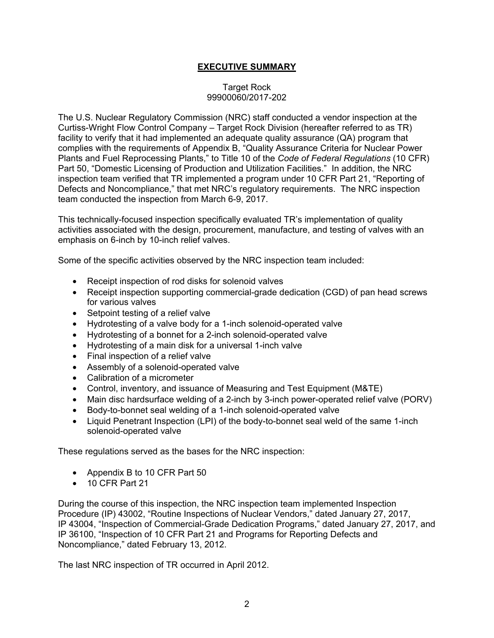## **EXECUTIVE SUMMARY**

## Target Rock 99900060/2017-202

The U.S. Nuclear Regulatory Commission (NRC) staff conducted a vendor inspection at the Curtiss-Wright Flow Control Company – Target Rock Division (hereafter referred to as TR) facility to verify that it had implemented an adequate quality assurance (QA) program that complies with the requirements of Appendix B, "Quality Assurance Criteria for Nuclear Power Plants and Fuel Reprocessing Plants," to Title 10 of the *Code of Federal Regulations* (10 CFR) Part 50, "Domestic Licensing of Production and Utilization Facilities." In addition, the NRC inspection team verified that TR implemented a program under 10 CFR Part 21, "Reporting of Defects and Noncompliance," that met NRC's regulatory requirements. The NRC inspection team conducted the inspection from March 6-9, 2017.

This technically-focused inspection specifically evaluated TR's implementation of quality activities associated with the design, procurement, manufacture, and testing of valves with an emphasis on 6-inch by 10-inch relief valves.

Some of the specific activities observed by the NRC inspection team included:

- Receipt inspection of rod disks for solenoid valves
- Receipt inspection supporting commercial-grade dedication (CGD) of pan head screws for various valves
- Setpoint testing of a relief valve
- Hydrotesting of a valve body for a 1-inch solenoid-operated valve
- Hydrotesting of a bonnet for a 2-inch solenoid-operated valve
- Hydrotesting of a main disk for a universal 1-inch valve
- Final inspection of a relief valve
- Assembly of a solenoid-operated valve
- Calibration of a micrometer
- Control, inventory, and issuance of Measuring and Test Equipment (M&TE)
- Main disc hardsurface welding of a 2-inch by 3-inch power-operated relief valve (PORV)
- Body-to-bonnet seal welding of a 1-inch solenoid-operated valve
- Liquid Penetrant Inspection (LPI) of the body-to-bonnet seal weld of the same 1-inch solenoid-operated valve

These regulations served as the bases for the NRC inspection:

- Appendix B to 10 CFR Part 50
- 10 CFR Part 21

During the course of this inspection, the NRC inspection team implemented Inspection Procedure (IP) 43002, "Routine Inspections of Nuclear Vendors," dated January 27, 2017, IP 43004, "Inspection of Commercial-Grade Dedication Programs," dated January 27, 2017, and IP 36100, "Inspection of 10 CFR Part 21 and Programs for Reporting Defects and Noncompliance," dated February 13, 2012.

The last NRC inspection of TR occurred in April 2012.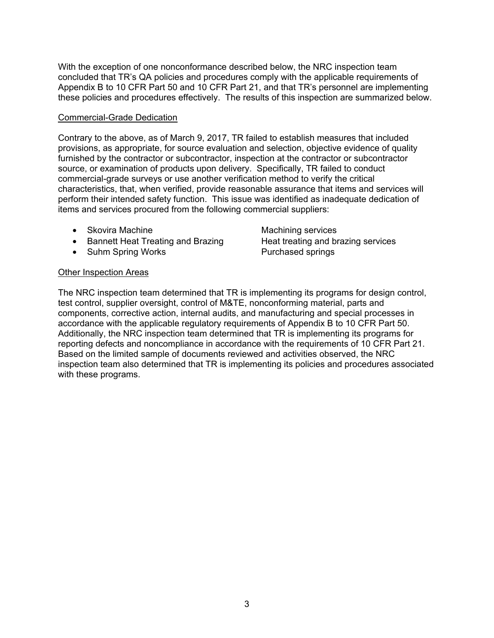With the exception of one nonconformance described below, the NRC inspection team concluded that TR's QA policies and procedures comply with the applicable requirements of Appendix B to 10 CFR Part 50 and 10 CFR Part 21, and that TR's personnel are implementing these policies and procedures effectively. The results of this inspection are summarized below.

### Commercial-Grade Dedication

Contrary to the above, as of March 9, 2017, TR failed to establish measures that included provisions, as appropriate, for source evaluation and selection, objective evidence of quality furnished by the contractor or subcontractor, inspection at the contractor or subcontractor source, or examination of products upon delivery. Specifically, TR failed to conduct commercial-grade surveys or use another verification method to verify the critical characteristics, that, when verified, provide reasonable assurance that items and services will perform their intended safety function. This issue was identified as inadequate dedication of items and services procured from the following commercial suppliers:

- Skovira Machine Machining services
- Bannett Heat Treating and Brazing Heat treating and brazing services
- Suhm Spring Works Purchased springs

## Other Inspection Areas

The NRC inspection team determined that TR is implementing its programs for design control, test control, supplier oversight, control of M&TE, nonconforming material, parts and components, corrective action, internal audits, and manufacturing and special processes in accordance with the applicable regulatory requirements of Appendix B to 10 CFR Part 50. Additionally, the NRC inspection team determined that TR is implementing its programs for reporting defects and noncompliance in accordance with the requirements of 10 CFR Part 21. Based on the limited sample of documents reviewed and activities observed, the NRC inspection team also determined that TR is implementing its policies and procedures associated with these programs.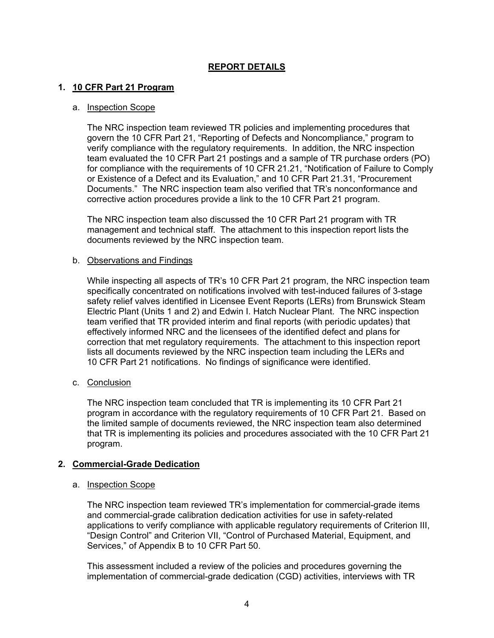## **REPORT DETAILS**

## **1. 10 CFR Part 21 Program**

#### a. Inspection Scope

The NRC inspection team reviewed TR policies and implementing procedures that govern the 10 CFR Part 21, "Reporting of Defects and Noncompliance," program to verify compliance with the regulatory requirements. In addition, the NRC inspection team evaluated the 10 CFR Part 21 postings and a sample of TR purchase orders (PO) for compliance with the requirements of 10 CFR 21.21, "Notification of Failure to Comply or Existence of a Defect and its Evaluation," and 10 CFR Part 21.31, "Procurement Documents." The NRC inspection team also verified that TR's nonconformance and corrective action procedures provide a link to the 10 CFR Part 21 program.

The NRC inspection team also discussed the 10 CFR Part 21 program with TR management and technical staff. The attachment to this inspection report lists the documents reviewed by the NRC inspection team.

#### b. Observations and Findings

While inspecting all aspects of TR's 10 CFR Part 21 program, the NRC inspection team specifically concentrated on notifications involved with test-induced failures of 3-stage safety relief valves identified in Licensee Event Reports (LERs) from Brunswick Steam Electric Plant (Units 1 and 2) and Edwin I. Hatch Nuclear Plant. The NRC inspection team verified that TR provided interim and final reports (with periodic updates) that effectively informed NRC and the licensees of the identified defect and plans for correction that met regulatory requirements. The attachment to this inspection report lists all documents reviewed by the NRC inspection team including the LERs and 10 CFR Part 21 notifications. No findings of significance were identified.

#### c. Conclusion

The NRC inspection team concluded that TR is implementing its 10 CFR Part 21 program in accordance with the regulatory requirements of 10 CFR Part 21. Based on the limited sample of documents reviewed, the NRC inspection team also determined that TR is implementing its policies and procedures associated with the 10 CFR Part 21 program.

#### **2. Commercial-Grade Dedication**

#### a. Inspection Scope

The NRC inspection team reviewed TR's implementation for commercial-grade items and commercial-grade calibration dedication activities for use in safety-related applications to verify compliance with applicable regulatory requirements of Criterion III, "Design Control" and Criterion VII, "Control of Purchased Material, Equipment, and Services," of Appendix B to 10 CFR Part 50.

This assessment included a review of the policies and procedures governing the implementation of commercial-grade dedication (CGD) activities, interviews with TR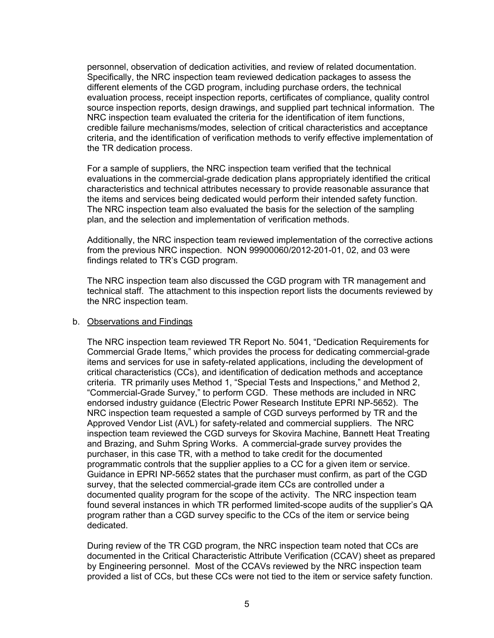personnel, observation of dedication activities, and review of related documentation. Specifically, the NRC inspection team reviewed dedication packages to assess the different elements of the CGD program, including purchase orders, the technical evaluation process, receipt inspection reports, certificates of compliance, quality control source inspection reports, design drawings, and supplied part technical information. The NRC inspection team evaluated the criteria for the identification of item functions, credible failure mechanisms/modes, selection of critical characteristics and acceptance criteria, and the identification of verification methods to verify effective implementation of the TR dedication process.

For a sample of suppliers, the NRC inspection team verified that the technical evaluations in the commercial-grade dedication plans appropriately identified the critical characteristics and technical attributes necessary to provide reasonable assurance that the items and services being dedicated would perform their intended safety function. The NRC inspection team also evaluated the basis for the selection of the sampling plan, and the selection and implementation of verification methods.

Additionally, the NRC inspection team reviewed implementation of the corrective actions from the previous NRC inspection. NON 99900060/2012-201-01, 02, and 03 were findings related to TR's CGD program.

The NRC inspection team also discussed the CGD program with TR management and technical staff. The attachment to this inspection report lists the documents reviewed by the NRC inspection team.

#### b. Observations and Findings

The NRC inspection team reviewed TR Report No. 5041, "Dedication Requirements for Commercial Grade Items," which provides the process for dedicating commercial-grade items and services for use in safety-related applications, including the development of critical characteristics (CCs), and identification of dedication methods and acceptance criteria. TR primarily uses Method 1, "Special Tests and Inspections," and Method 2, "Commercial-Grade Survey," to perform CGD. These methods are included in NRC endorsed industry guidance (Electric Power Research Institute EPRI NP-5652). The NRC inspection team requested a sample of CGD surveys performed by TR and the Approved Vendor List (AVL) for safety-related and commercial suppliers. The NRC inspection team reviewed the CGD surveys for Skovira Machine, Bannett Heat Treating and Brazing, and Suhm Spring Works. A commercial-grade survey provides the purchaser, in this case TR, with a method to take credit for the documented programmatic controls that the supplier applies to a CC for a given item or service. Guidance in EPRI NP-5652 states that the purchaser must confirm, as part of the CGD survey, that the selected commercial-grade item CCs are controlled under a documented quality program for the scope of the activity. The NRC inspection team found several instances in which TR performed limited-scope audits of the supplier's QA program rather than a CGD survey specific to the CCs of the item or service being dedicated.

During review of the TR CGD program, the NRC inspection team noted that CCs are documented in the Critical Characteristic Attribute Verification (CCAV) sheet as prepared by Engineering personnel. Most of the CCAVs reviewed by the NRC inspection team provided a list of CCs, but these CCs were not tied to the item or service safety function.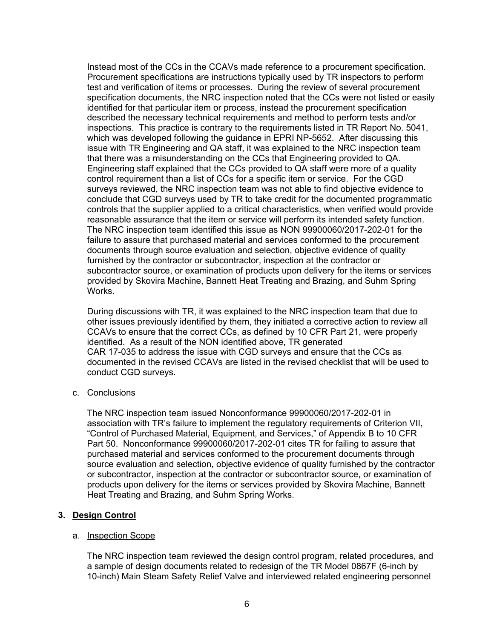Instead most of the CCs in the CCAVs made reference to a procurement specification. Procurement specifications are instructions typically used by TR inspectors to perform test and verification of items or processes. During the review of several procurement specification documents, the NRC inspection noted that the CCs were not listed or easily identified for that particular item or process, instead the procurement specification described the necessary technical requirements and method to perform tests and/or inspections. This practice is contrary to the requirements listed in TR Report No. 5041, which was developed following the guidance in EPRI NP-5652. After discussing this issue with TR Engineering and QA staff, it was explained to the NRC inspection team that there was a misunderstanding on the CCs that Engineering provided to QA. Engineering staff explained that the CCs provided to QA staff were more of a quality control requirement than a list of CCs for a specific item or service. For the CGD surveys reviewed, the NRC inspection team was not able to find objective evidence to conclude that CGD surveys used by TR to take credit for the documented programmatic controls that the supplier applied to a critical characteristics, when verified would provide reasonable assurance that the item or service will perform its intended safety function. The NRC inspection team identified this issue as NON 99900060/2017-202-01 for the failure to assure that purchased material and services conformed to the procurement documents through source evaluation and selection, objective evidence of quality furnished by the contractor or subcontractor, inspection at the contractor or subcontractor source, or examination of products upon delivery for the items or services provided by Skovira Machine, Bannett Heat Treating and Brazing, and Suhm Spring Works.

During discussions with TR, it was explained to the NRC inspection team that due to other issues previously identified by them, they initiated a corrective action to review all CCAVs to ensure that the correct CCs, as defined by 10 CFR Part 21, were properly identified. As a result of the NON identified above, TR generated CAR 17-035 to address the issue with CGD surveys and ensure that the CCs as documented in the revised CCAVs are listed in the revised checklist that will be used to conduct CGD surveys.

#### c. Conclusions

The NRC inspection team issued Nonconformance 99900060/2017-202-01 in association with TR's failure to implement the regulatory requirements of Criterion VII, "Control of Purchased Material, Equipment, and Services," of Appendix B to 10 CFR Part 50. Nonconformance 99900060/2017-202-01 cites TR for failing to assure that purchased material and services conformed to the procurement documents through source evaluation and selection, objective evidence of quality furnished by the contractor or subcontractor, inspection at the contractor or subcontractor source, or examination of products upon delivery for the items or services provided by Skovira Machine, Bannett Heat Treating and Brazing, and Suhm Spring Works.

## **3. Design Control**

#### a. Inspection Scope

The NRC inspection team reviewed the design control program, related procedures, and a sample of design documents related to redesign of the TR Model 0867F (6-inch by 10-inch) Main Steam Safety Relief Valve and interviewed related engineering personnel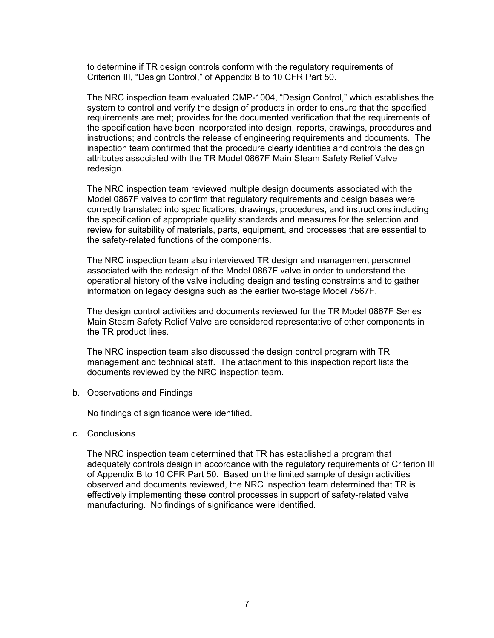to determine if TR design controls conform with the regulatory requirements of Criterion III, "Design Control," of Appendix B to 10 CFR Part 50.

The NRC inspection team evaluated QMP-1004, "Design Control," which establishes the system to control and verify the design of products in order to ensure that the specified requirements are met; provides for the documented verification that the requirements of the specification have been incorporated into design, reports, drawings, procedures and instructions; and controls the release of engineering requirements and documents. The inspection team confirmed that the procedure clearly identifies and controls the design attributes associated with the TR Model 0867F Main Steam Safety Relief Valve redesign.

The NRC inspection team reviewed multiple design documents associated with the Model 0867F valves to confirm that regulatory requirements and design bases were correctly translated into specifications, drawings, procedures, and instructions including the specification of appropriate quality standards and measures for the selection and review for suitability of materials, parts, equipment, and processes that are essential to the safety-related functions of the components.

The NRC inspection team also interviewed TR design and management personnel associated with the redesign of the Model 0867F valve in order to understand the operational history of the valve including design and testing constraints and to gather information on legacy designs such as the earlier two-stage Model 7567F.

The design control activities and documents reviewed for the TR Model 0867F Series Main Steam Safety Relief Valve are considered representative of other components in the TR product lines.

The NRC inspection team also discussed the design control program with TR management and technical staff. The attachment to this inspection report lists the documents reviewed by the NRC inspection team.

#### b. Observations and Findings

No findings of significance were identified.

#### c. Conclusions

The NRC inspection team determined that TR has established a program that adequately controls design in accordance with the regulatory requirements of Criterion III of Appendix B to 10 CFR Part 50. Based on the limited sample of design activities observed and documents reviewed, the NRC inspection team determined that TR is effectively implementing these control processes in support of safety-related valve manufacturing. No findings of significance were identified.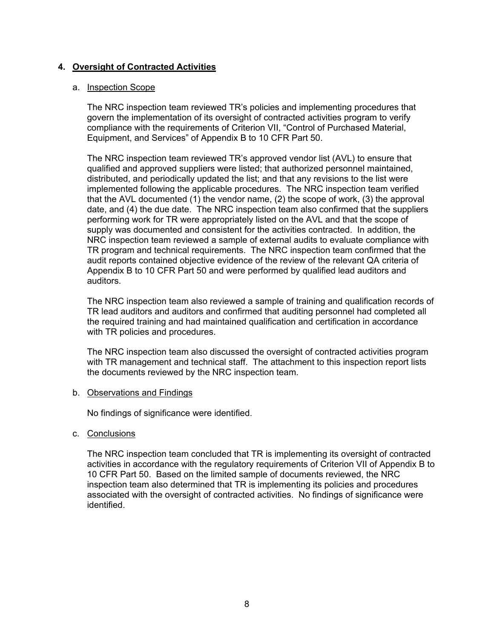## **4. Oversight of Contracted Activities**

#### a. Inspection Scope

The NRC inspection team reviewed TR's policies and implementing procedures that govern the implementation of its oversight of contracted activities program to verify compliance with the requirements of Criterion VII, "Control of Purchased Material, Equipment, and Services" of Appendix B to 10 CFR Part 50.

The NRC inspection team reviewed TR's approved vendor list (AVL) to ensure that qualified and approved suppliers were listed; that authorized personnel maintained, distributed, and periodically updated the list; and that any revisions to the list were implemented following the applicable procedures. The NRC inspection team verified that the AVL documented (1) the vendor name, (2) the scope of work, (3) the approval date, and (4) the due date. The NRC inspection team also confirmed that the suppliers performing work for TR were appropriately listed on the AVL and that the scope of supply was documented and consistent for the activities contracted. In addition, the NRC inspection team reviewed a sample of external audits to evaluate compliance with TR program and technical requirements. The NRC inspection team confirmed that the audit reports contained objective evidence of the review of the relevant QA criteria of Appendix B to 10 CFR Part 50 and were performed by qualified lead auditors and auditors.

The NRC inspection team also reviewed a sample of training and qualification records of TR lead auditors and auditors and confirmed that auditing personnel had completed all the required training and had maintained qualification and certification in accordance with TR policies and procedures.

The NRC inspection team also discussed the oversight of contracted activities program with TR management and technical staff. The attachment to this inspection report lists the documents reviewed by the NRC inspection team.

#### b. Observations and Findings

No findings of significance were identified.

#### c. Conclusions

The NRC inspection team concluded that TR is implementing its oversight of contracted activities in accordance with the regulatory requirements of Criterion VII of Appendix B to 10 CFR Part 50. Based on the limited sample of documents reviewed, the NRC inspection team also determined that TR is implementing its policies and procedures associated with the oversight of contracted activities. No findings of significance were identified.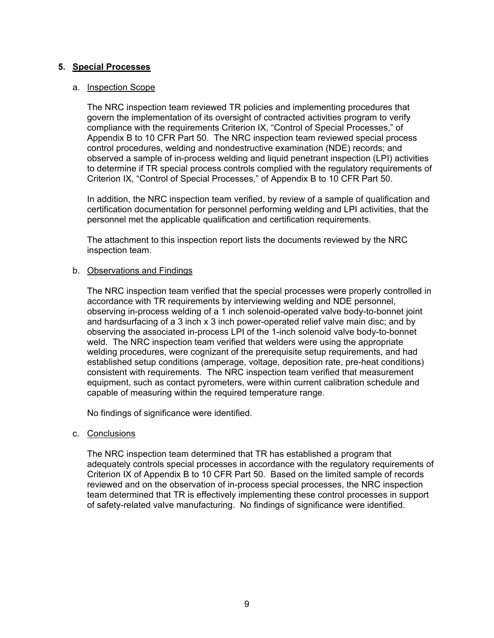## **5. Special Processes**

#### a. Inspection Scope

The NRC inspection team reviewed TR policies and implementing procedures that govern the implementation of its oversight of contracted activities program to verify compliance with the requirements Criterion IX, "Control of Special Processes," of Appendix B to 10 CFR Part 50. The NRC inspection team reviewed special process control procedures, welding and nondestructive examination (NDE) records; and observed a sample of in-process welding and liquid penetrant inspection (LPI) activities to determine if TR special process controls complied with the regulatory requirements of Criterion IX, "Control of Special Processes," of Appendix B to 10 CFR Part 50.

In addition, the NRC inspection team verified, by review of a sample of qualification and certification documentation for personnel performing welding and LPI activities, that the personnel met the applicable qualification and certification requirements.

The attachment to this inspection report lists the documents reviewed by the NRC inspection team.

#### b. Observations and Findings

The NRC inspection team verified that the special processes were properly controlled in accordance with TR requirements by interviewing welding and NDE personnel, observing in-process welding of a 1 inch solenoid-operated valve body-to-bonnet joint and hardsurfacing of a 3 inch x 3 inch power-operated relief valve main disc; and by observing the associated in-process LPI of the 1-inch solenoid valve body-to-bonnet weld. The NRC inspection team verified that welders were using the appropriate welding procedures, were cognizant of the prerequisite setup requirements, and had established setup conditions (amperage, voltage, deposition rate, pre-heat conditions) consistent with requirements. The NRC inspection team verified that measurement equipment, such as contact pyrometers, were within current calibration schedule and capable of measuring within the required temperature range.

No findings of significance were identified.

#### c. Conclusions

The NRC inspection team determined that TR has established a program that adequately controls special processes in accordance with the regulatory requirements of Criterion IX of Appendix B to 10 CFR Part 50. Based on the limited sample of records reviewed and on the observation of in-process special processes, the NRC inspection team determined that TR is effectively implementing these control processes in support of safety-related valve manufacturing. No findings of significance were identified.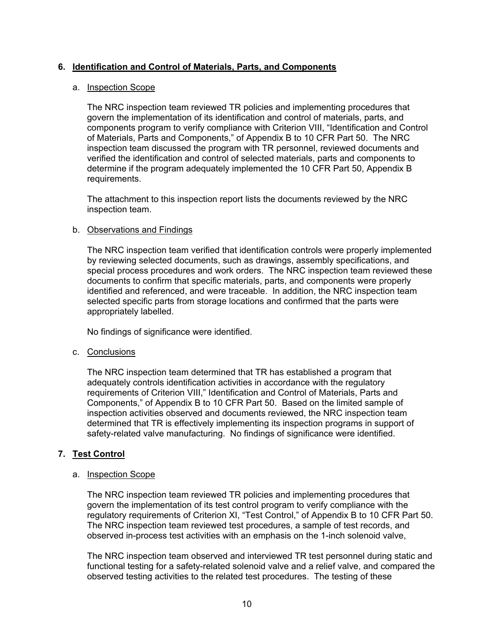## **6. Identification and Control of Materials, Parts, and Components**

#### a. Inspection Scope

The NRC inspection team reviewed TR policies and implementing procedures that govern the implementation of its identification and control of materials, parts, and components program to verify compliance with Criterion VIII, "Identification and Control of Materials, Parts and Components," of Appendix B to 10 CFR Part 50. The NRC inspection team discussed the program with TR personnel, reviewed documents and verified the identification and control of selected materials, parts and components to determine if the program adequately implemented the 10 CFR Part 50, Appendix B requirements.

The attachment to this inspection report lists the documents reviewed by the NRC inspection team.

#### b. Observations and Findings

The NRC inspection team verified that identification controls were properly implemented by reviewing selected documents, such as drawings, assembly specifications, and special process procedures and work orders. The NRC inspection team reviewed these documents to confirm that specific materials, parts, and components were properly identified and referenced, and were traceable. In addition, the NRC inspection team selected specific parts from storage locations and confirmed that the parts were appropriately labelled.

No findings of significance were identified.

#### c. Conclusions

The NRC inspection team determined that TR has established a program that adequately controls identification activities in accordance with the regulatory requirements of Criterion VIII," Identification and Control of Materials, Parts and Components," of Appendix B to 10 CFR Part 50. Based on the limited sample of inspection activities observed and documents reviewed, the NRC inspection team determined that TR is effectively implementing its inspection programs in support of safety-related valve manufacturing. No findings of significance were identified.

## **7. Test Control**

#### a. Inspection Scope

The NRC inspection team reviewed TR policies and implementing procedures that govern the implementation of its test control program to verify compliance with the regulatory requirements of Criterion XI, "Test Control," of Appendix B to 10 CFR Part 50. The NRC inspection team reviewed test procedures, a sample of test records, and observed in-process test activities with an emphasis on the 1-inch solenoid valve,

The NRC inspection team observed and interviewed TR test personnel during static and functional testing for a safety-related solenoid valve and a relief valve, and compared the observed testing activities to the related test procedures. The testing of these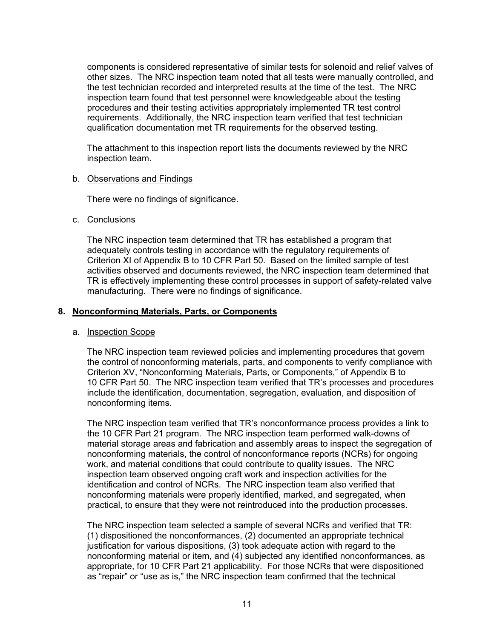components is considered representative of similar tests for solenoid and relief valves of other sizes. The NRC inspection team noted that all tests were manually controlled, and the test technician recorded and interpreted results at the time of the test. The NRC inspection team found that test personnel were knowledgeable about the testing procedures and their testing activities appropriately implemented TR test control requirements. Additionally, the NRC inspection team verified that test technician qualification documentation met TR requirements for the observed testing.

The attachment to this inspection report lists the documents reviewed by the NRC inspection team.

## b. Observations and Findings

There were no findings of significance.

## c. Conclusions

The NRC inspection team determined that TR has established a program that adequately controls testing in accordance with the regulatory requirements of Criterion XI of Appendix B to 10 CFR Part 50. Based on the limited sample of test activities observed and documents reviewed, the NRC inspection team determined that TR is effectively implementing these control processes in support of safety-related valve manufacturing. There were no findings of significance.

## **8. Nonconforming Materials, Parts, or Components**

#### a. Inspection Scope

The NRC inspection team reviewed policies and implementing procedures that govern the control of nonconforming materials, parts, and components to verify compliance with Criterion XV, "Nonconforming Materials, Parts, or Components," of Appendix B to 10 CFR Part 50. The NRC inspection team verified that TR's processes and procedures include the identification, documentation, segregation, evaluation, and disposition of nonconforming items.

The NRC inspection team verified that TR's nonconformance process provides a link to the 10 CFR Part 21 program. The NRC inspection team performed walk-downs of material storage areas and fabrication and assembly areas to inspect the segregation of nonconforming materials, the control of nonconformance reports (NCRs) for ongoing work, and material conditions that could contribute to quality issues. The NRC inspection team observed ongoing craft work and inspection activities for the identification and control of NCRs. The NRC inspection team also verified that nonconforming materials were properly identified, marked, and segregated, when practical, to ensure that they were not reintroduced into the production processes.

The NRC inspection team selected a sample of several NCRs and verified that TR: (1) dispositioned the nonconformances, (2) documented an appropriate technical justification for various dispositions, (3) took adequate action with regard to the nonconforming material or item, and (4) subjected any identified nonconformances, as appropriate, for 10 CFR Part 21 applicability. For those NCRs that were dispositioned as "repair" or "use as is," the NRC inspection team confirmed that the technical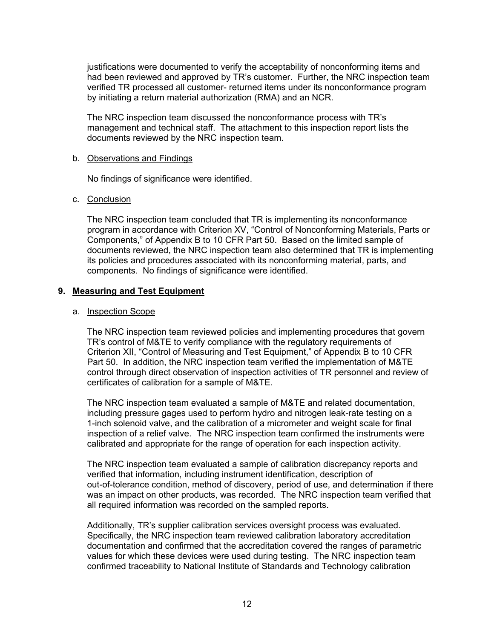justifications were documented to verify the acceptability of nonconforming items and had been reviewed and approved by TR's customer. Further, the NRC inspection team verified TR processed all customer- returned items under its nonconformance program by initiating a return material authorization (RMA) and an NCR.

The NRC inspection team discussed the nonconformance process with TR's management and technical staff. The attachment to this inspection report lists the documents reviewed by the NRC inspection team.

#### b. Observations and Findings

No findings of significance were identified.

## c. Conclusion

The NRC inspection team concluded that TR is implementing its nonconformance program in accordance with Criterion XV, "Control of Nonconforming Materials, Parts or Components," of Appendix B to 10 CFR Part 50. Based on the limited sample of documents reviewed, the NRC inspection team also determined that TR is implementing its policies and procedures associated with its nonconforming material, parts, and components. No findings of significance were identified.

## **9. Measuring and Test Equipment**

#### a. Inspection Scope

The NRC inspection team reviewed policies and implementing procedures that govern TR's control of M&TE to verify compliance with the regulatory requirements of Criterion XII, "Control of Measuring and Test Equipment," of Appendix B to 10 CFR Part 50. In addition, the NRC inspection team verified the implementation of M&TE control through direct observation of inspection activities of TR personnel and review of certificates of calibration for a sample of M&TE.

The NRC inspection team evaluated a sample of M&TE and related documentation, including pressure gages used to perform hydro and nitrogen leak-rate testing on a 1-inch solenoid valve, and the calibration of a micrometer and weight scale for final inspection of a relief valve. The NRC inspection team confirmed the instruments were calibrated and appropriate for the range of operation for each inspection activity.

The NRC inspection team evaluated a sample of calibration discrepancy reports and verified that information, including instrument identification, description of out-of-tolerance condition, method of discovery, period of use, and determination if there was an impact on other products, was recorded. The NRC inspection team verified that all required information was recorded on the sampled reports.

Additionally, TR's supplier calibration services oversight process was evaluated. Specifically, the NRC inspection team reviewed calibration laboratory accreditation documentation and confirmed that the accreditation covered the ranges of parametric values for which these devices were used during testing. The NRC inspection team confirmed traceability to National Institute of Standards and Technology calibration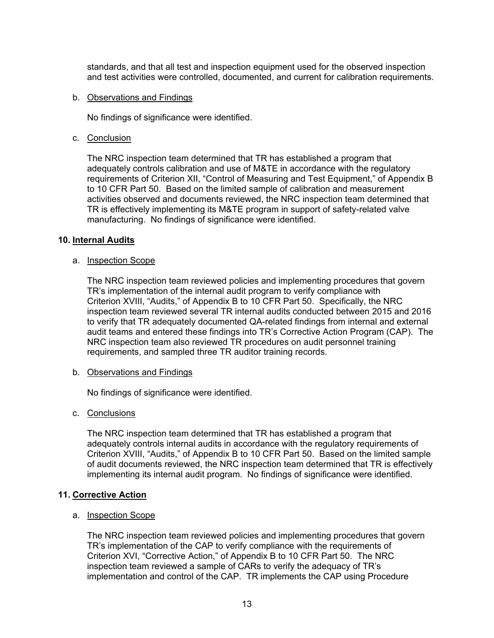standards, and that all test and inspection equipment used for the observed inspection and test activities were controlled, documented, and current for calibration requirements.

#### b. Observations and Findings

No findings of significance were identified.

#### c. Conclusion

The NRC inspection team determined that TR has established a program that adequately controls calibration and use of M&TE in accordance with the regulatory requirements of Criterion XII, "Control of Measuring and Test Equipment," of Appendix B to 10 CFR Part 50. Based on the limited sample of calibration and measurement activities observed and documents reviewed, the NRC inspection team determined that TR is effectively implementing its M&TE program in support of safety-related valve manufacturing. No findings of significance were identified.

#### **10. Internal Audits**

#### a. Inspection Scope

The NRC inspection team reviewed policies and implementing procedures that govern TR's implementation of the internal audit program to verify compliance with Criterion XVIII, "Audits," of Appendix B to 10 CFR Part 50. Specifically, the NRC inspection team reviewed several TR internal audits conducted between 2015 and 2016 to verify that TR adequately documented QA-related findings from internal and external audit teams and entered these findings into TR's Corrective Action Program (CAP). The NRC inspection team also reviewed TR procedures on audit personnel training requirements, and sampled three TR auditor training records.

#### b. Observations and Findings

No findings of significance were identified.

#### c. Conclusions

The NRC inspection team determined that TR has established a program that adequately controls internal audits in accordance with the regulatory requirements of Criterion XVIII, "Audits," of Appendix B to 10 CFR Part 50. Based on the limited sample of audit documents reviewed, the NRC inspection team determined that TR is effectively implementing its internal audit program. No findings of significance were identified.

#### **11. Corrective Action**

#### a. Inspection Scope

The NRC inspection team reviewed policies and implementing procedures that govern TR's implementation of the CAP to verify compliance with the requirements of Criterion XVI, "Corrective Action," of Appendix B to 10 CFR Part 50. The NRC inspection team reviewed a sample of CARs to verify the adequacy of TR's implementation and control of the CAP. TR implements the CAP using Procedure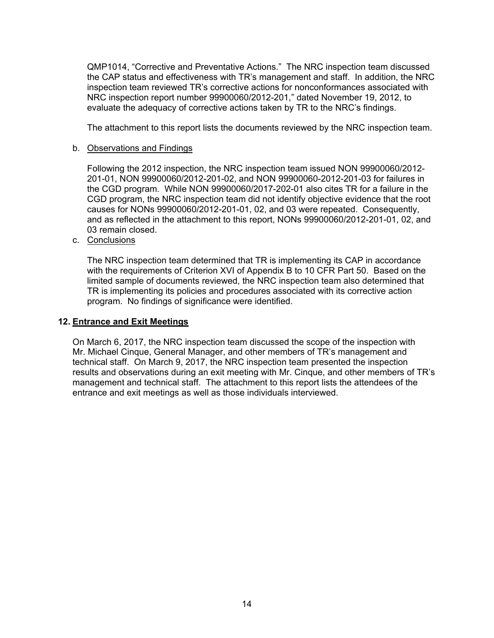QMP1014, "Corrective and Preventative Actions." The NRC inspection team discussed the CAP status and effectiveness with TR's management and staff. In addition, the NRC inspection team reviewed TR's corrective actions for nonconformances associated with NRC inspection report number 99900060/2012-201," dated November 19, 2012, to evaluate the adequacy of corrective actions taken by TR to the NRC's findings.

The attachment to this report lists the documents reviewed by the NRC inspection team.

#### b. Observations and Findings

Following the 2012 inspection, the NRC inspection team issued NON 99900060/2012- 201-01, NON 99900060/2012-201-02, and NON 99900060-2012-201-03 for failures in the CGD program. While NON 99900060/2017-202-01 also cites TR for a failure in the CGD program, the NRC inspection team did not identify objective evidence that the root causes for NONs 99900060/2012-201-01, 02, and 03 were repeated. Consequently, and as reflected in the attachment to this report, NONs 99900060/2012-201-01, 02, and 03 remain closed.

c. Conclusions

The NRC inspection team determined that TR is implementing its CAP in accordance with the requirements of Criterion XVI of Appendix B to 10 CFR Part 50. Based on the limited sample of documents reviewed, the NRC inspection team also determined that TR is implementing its policies and procedures associated with its corrective action program. No findings of significance were identified.

## **12. Entrance and Exit Meetings**

On March 6, 2017, the NRC inspection team discussed the scope of the inspection with Mr. Michael Cinque, General Manager, and other members of TR's management and technical staff. On March 9, 2017, the NRC inspection team presented the inspection results and observations during an exit meeting with Mr. Cinque, and other members of TR's management and technical staff. The attachment to this report lists the attendees of the entrance and exit meetings as well as those individuals interviewed.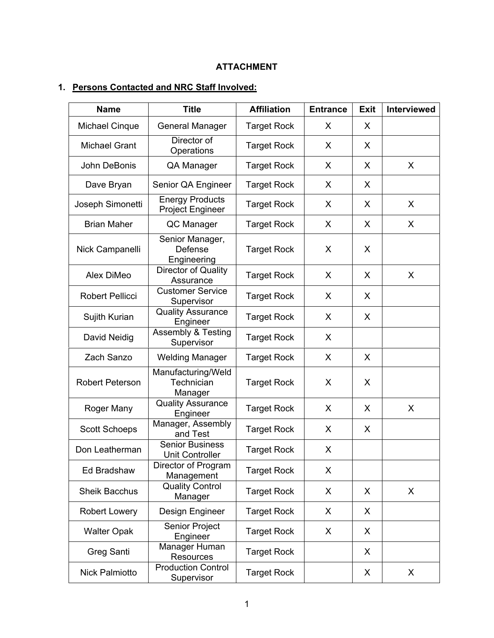## **ATTACHMENT**

# **1. Persons Contacted and NRC Staff Involved:**

| <b>Name</b>            | <b>Title</b>                                      | <b>Affiliation</b> | <b>Entrance</b> | <b>Exit</b> | <b>Interviewed</b> |
|------------------------|---------------------------------------------------|--------------------|-----------------|-------------|--------------------|
| <b>Michael Cinque</b>  | <b>General Manager</b>                            | <b>Target Rock</b> | X               | X           |                    |
| <b>Michael Grant</b>   | Director of<br>Operations                         | <b>Target Rock</b> | X               | X           |                    |
| John DeBonis           | QA Manager                                        | <b>Target Rock</b> | X               | X           | X                  |
| Dave Bryan             | Senior QA Engineer                                | <b>Target Rock</b> | X               | X           |                    |
| Joseph Simonetti       | <b>Energy Products</b><br><b>Project Engineer</b> | <b>Target Rock</b> | X               | X           | X                  |
| <b>Brian Maher</b>     | QC Manager                                        | <b>Target Rock</b> | X               | X           | X                  |
| Nick Campanelli        | Senior Manager,<br>Defense<br>Engineering         | <b>Target Rock</b> | X               | X           |                    |
| Alex DiMeo             | Director of Quality<br>Assurance                  | <b>Target Rock</b> | X               | X           | X                  |
| <b>Robert Pellicci</b> | <b>Customer Service</b><br>Supervisor             | <b>Target Rock</b> | X               | X           |                    |
| Sujith Kurian          | <b>Quality Assurance</b><br>Engineer              | <b>Target Rock</b> | X               | X           |                    |
| David Neidig           | <b>Assembly &amp; Testing</b><br>Supervisor       | <b>Target Rock</b> | X               |             |                    |
| Zach Sanzo             | <b>Welding Manager</b>                            | <b>Target Rock</b> | X               | X           |                    |
| <b>Robert Peterson</b> | Manufacturing/Weld<br>Technician<br>Manager       | <b>Target Rock</b> | X               | X           |                    |
| Roger Many             | <b>Quality Assurance</b><br>Engineer              | <b>Target Rock</b> | X               | X           | X                  |
| <b>Scott Schoeps</b>   | Manager, Assembly<br>and Test                     | <b>Target Rock</b> | X               | X           |                    |
| Don Leatherman         | <b>Senior Business</b><br><b>Unit Controller</b>  | <b>Target Rock</b> | X               |             |                    |
| Ed Bradshaw            | Director of Program<br>Management                 | <b>Target Rock</b> | X               |             |                    |
| <b>Sheik Bacchus</b>   | <b>Quality Control</b><br>Manager                 | <b>Target Rock</b> | X               | X           | X                  |
| <b>Robert Lowery</b>   | Design Engineer                                   | <b>Target Rock</b> | X               | X           |                    |
| <b>Walter Opak</b>     | Senior Project<br>Engineer                        | <b>Target Rock</b> | X               | X           |                    |
| Greg Santi             | Manager Human<br><b>Resources</b>                 | <b>Target Rock</b> |                 | X           |                    |
| Nick Palmiotto         | <b>Production Control</b><br>Supervisor           | <b>Target Rock</b> |                 | X           | X                  |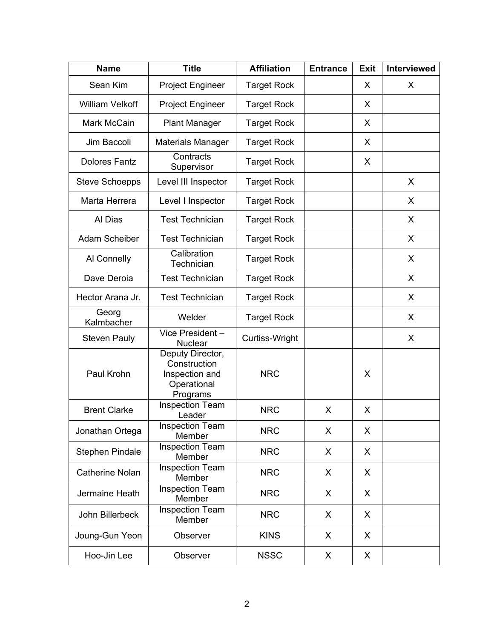| <b>Name</b>            | <b>Title</b>                                                                  | <b>Affiliation</b> | <b>Entrance</b> | <b>Exit</b> | <b>Interviewed</b> |
|------------------------|-------------------------------------------------------------------------------|--------------------|-----------------|-------------|--------------------|
| Sean Kim               | <b>Project Engineer</b>                                                       | <b>Target Rock</b> |                 | X           | X                  |
| <b>William Velkoff</b> | <b>Project Engineer</b>                                                       | <b>Target Rock</b> |                 |             |                    |
| Mark McCain            | <b>Plant Manager</b>                                                          | <b>Target Rock</b> |                 | X           |                    |
| Jim Baccoli            | <b>Materials Manager</b>                                                      | <b>Target Rock</b> |                 | X           |                    |
| <b>Dolores Fantz</b>   | Contracts<br>Supervisor                                                       | <b>Target Rock</b> |                 | Χ           |                    |
| <b>Steve Schoepps</b>  | Level III Inspector                                                           | <b>Target Rock</b> |                 |             | X                  |
| Marta Herrera          | Level I Inspector                                                             | <b>Target Rock</b> |                 |             | X                  |
| Al Dias                | <b>Test Technician</b>                                                        | <b>Target Rock</b> |                 |             | X                  |
| Adam Scheiber          | <b>Test Technician</b>                                                        | <b>Target Rock</b> |                 |             | X                  |
| Al Connelly            | Calibration<br>Technician                                                     | <b>Target Rock</b> |                 |             | X                  |
| Dave Deroia            | <b>Test Technician</b>                                                        | <b>Target Rock</b> |                 |             | X                  |
| Hector Arana Jr.       | <b>Test Technician</b>                                                        | <b>Target Rock</b> |                 |             | X                  |
| Georg<br>Kalmbacher    | Welder                                                                        | <b>Target Rock</b> |                 |             | X                  |
| <b>Steven Pauly</b>    | $Vice President -$<br><b>Nuclear</b>                                          | Curtiss-Wright     |                 |             | X                  |
| Paul Krohn             | Deputy Director,<br>Construction<br>Inspection and<br>Operational<br>Programs | <b>NRC</b>         |                 | X           |                    |
| <b>Brent Clarke</b>    | <b>Inspection Team</b><br>Leader                                              | <b>NRC</b>         | X               | X           |                    |
| Jonathan Ortega        | <b>Inspection Team</b><br>Member                                              | <b>NRC</b>         | X               | X           |                    |
| Stephen Pindale        | <b>Inspection Team</b><br>Member                                              | <b>NRC</b>         | X               | X           |                    |
| <b>Catherine Nolan</b> | <b>Inspection Team</b><br>Member                                              | <b>NRC</b>         | X               | X           |                    |
| Jermaine Heath         | <b>Inspection Team</b><br>Member                                              | <b>NRC</b>         | X               | X           |                    |
| John Billerbeck        | <b>Inspection Team</b><br>Member                                              | <b>NRC</b>         | X               | X           |                    |
| Joung-Gun Yeon         | Observer                                                                      | <b>KINS</b>        | X               | X           |                    |
| Hoo-Jin Lee            | Observer                                                                      | <b>NSSC</b>        | X               | X           |                    |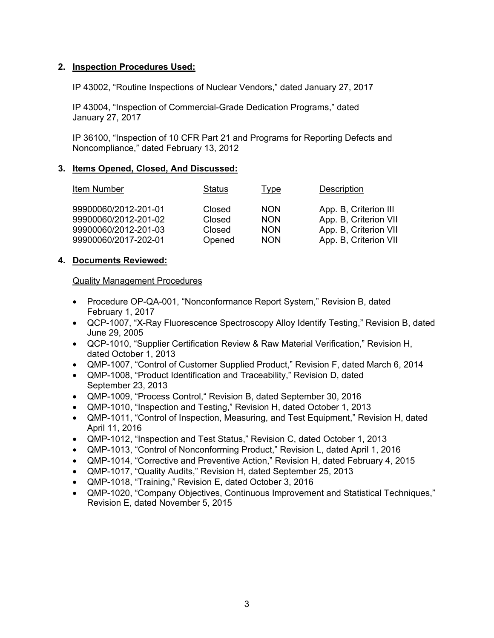## **2. Inspection Procedures Used:**

IP 43002, "Routine Inspections of Nuclear Vendors," dated January 27, 2017

IP 43004, "Inspection of Commercial-Grade Dedication Programs," dated January 27, 2017

IP 36100, "Inspection of 10 CFR Part 21 and Programs for Reporting Defects and Noncompliance," dated February 13, 2012

## **3. Items Opened, Closed, And Discussed:**

| Item Number          | Status | Type       | <b>Description</b>    |
|----------------------|--------|------------|-----------------------|
| 99900060/2012-201-01 | Closed | <b>NON</b> | App. B, Criterion III |
| 99900060/2012-201-02 | Closed | <b>NON</b> | App. B, Criterion VII |
| 99900060/2012-201-03 | Closed | <b>NON</b> | App. B, Criterion VII |
| 99900060/2017-202-01 | Opened | <b>NON</b> | App. B, Criterion VII |

## **4. Documents Reviewed:**

## Quality Management Procedures

- Procedure OP-QA-001, "Nonconformance Report System," Revision B, dated February 1, 2017
- QCP-1007, "X-Ray Fluorescence Spectroscopy Alloy Identify Testing," Revision B, dated June 29, 2005
- QCP-1010, "Supplier Certification Review & Raw Material Verification," Revision H, dated October 1, 2013
- QMP-1007, "Control of Customer Supplied Product," Revision F, dated March 6, 2014
- QMP-1008, "Product Identification and Traceability," Revision D, dated September 23, 2013
- QMP-1009, "Process Control," Revision B, dated September 30, 2016
- QMP-1010, "Inspection and Testing," Revision H, dated October 1, 2013
- QMP-1011, "Control of Inspection, Measuring, and Test Equipment," Revision H, dated April 11, 2016
- QMP-1012, "Inspection and Test Status," Revision C, dated October 1, 2013
- QMP-1013, "Control of Nonconforming Product," Revision L, dated April 1, 2016
- QMP-1014, "Corrective and Preventive Action," Revision H, dated February 4, 2015
- QMP-1017, "Quality Audits," Revision H, dated September 25, 2013
- QMP-1018, "Training," Revision E, dated October 3, 2016
- **QMP-1020, "Company Objectives, Continuous Improvement and Statistical Techniques."** Revision E, dated November 5, 2015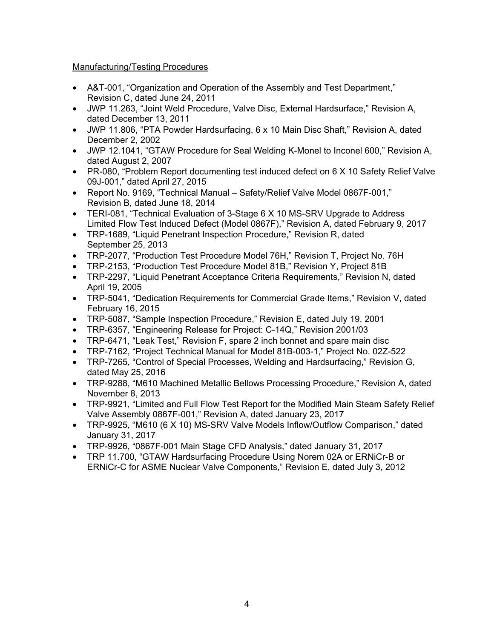## Manufacturing/Testing Procedures

- A&T-001, "Organization and Operation of the Assembly and Test Department," Revision C, dated June 24, 2011
- JWP 11.263, "Joint Weld Procedure, Valve Disc, External Hardsurface," Revision A, dated December 13, 2011
- JWP 11.806, "PTA Powder Hardsurfacing, 6 x 10 Main Disc Shaft," Revision A, dated December 2, 2002
- JWP 12.1041, "GTAW Procedure for Seal Welding K-Monel to Inconel 600," Revision A, dated August 2, 2007
- PR-080, "Problem Report documenting test induced defect on 6 X 10 Safety Relief Valve 09J-001," dated April 27, 2015
- Report No. 9169, "Technical Manual Safety/Relief Valve Model 0867F-001," Revision B, dated June 18, 2014
- TERI-081, "Technical Evaluation of 3-Stage 6 X 10 MS-SRV Upgrade to Address Limited Flow Test Induced Defect (Model 0867F)," Revision A, dated February 9, 2017
- TRP-1689, "Liquid Penetrant Inspection Procedure," Revision R, dated September 25, 2013
- TRP-2077, "Production Test Procedure Model 76H," Revision T, Project No. 76H
- TRP-2153, "Production Test Procedure Model 81B," Revision Y, Project 81B
- TRP-2297, "Liquid Penetrant Acceptance Criteria Requirements," Revision N, dated April 19, 2005
- TRP-5041, "Dedication Requirements for Commercial Grade Items," Revision V, dated February 16, 2015
- TRP-5087, "Sample Inspection Procedure," Revision E, dated July 19, 2001
- TRP-6357, "Engineering Release for Project: C-14Q," Revision 2001/03
- TRP-6471, "Leak Test," Revision F, spare 2 inch bonnet and spare main disc
- TRP-7162, "Project Technical Manual for Model 81B-003-1," Project No. 02Z-522
- TRP-7265, "Control of Special Processes, Welding and Hardsurfacing," Revision G, dated May 25, 2016
- TRP-9288, "M610 Machined Metallic Bellows Processing Procedure," Revision A, dated November 8, 2013
- TRP-9921, "Limited and Full Flow Test Report for the Modified Main Steam Safety Relief Valve Assembly 0867F-001," Revision A, dated January 23, 2017
- TRP-9925, "M610 (6 X 10) MS-SRV Valve Models Inflow/Outflow Comparison," dated January 31, 2017
- TRP-9926, "0867F-001 Main Stage CFD Analysis," dated January 31, 2017
- TRP 11.700, "GTAW Hardsurfacing Procedure Using Norem 02A or ERNiCr-B or ERNiCr-C for ASME Nuclear Valve Components," Revision E, dated July 3, 2012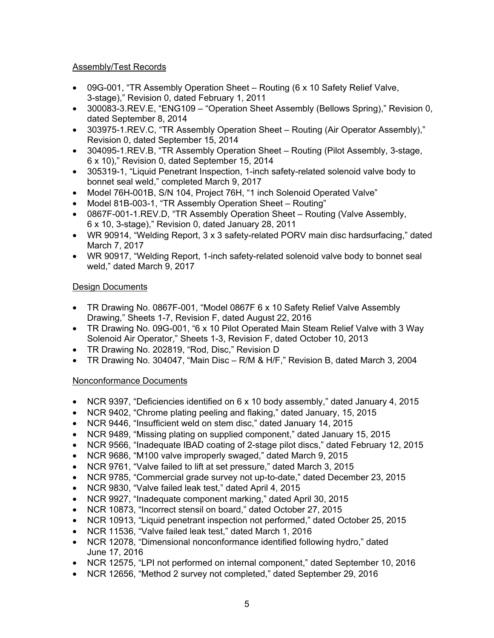## Assembly/Test Records

- 09G-001, "TR Assembly Operation Sheet Routing (6 x 10 Safety Relief Valve, 3-stage)," Revision 0, dated February 1, 2011
- 300083-3.REV.E, "ENG109 "Operation Sheet Assembly (Bellows Spring)," Revision 0, dated September 8, 2014
- 303975-1.REV.C. "TR Assembly Operation Sheet Routing (Air Operator Assembly)." Revision 0, dated September 15, 2014
- 304095-1.REV.B, "TR Assembly Operation Sheet Routing (Pilot Assembly, 3-stage, 6 x 10)," Revision 0, dated September 15, 2014
- 305319-1, "Liquid Penetrant Inspection, 1-inch safety-related solenoid valve body to bonnet seal weld," completed March 9, 2017
- Model 76H-001B, S/N 104, Project 76H, "1 inch Solenoid Operated Valve"
- Model 81B-003-1, "TR Assembly Operation Sheet Routing"
- 0867F-001-1.REV.D, "TR Assembly Operation Sheet Routing (Valve Assembly, 6 x 10, 3-stage)," Revision 0, dated January 28, 2011
- WR 90914, "Welding Report, 3 x 3 safety-related PORV main disc hardsurfacing," dated March 7, 2017
- WR 90917, "Welding Report, 1-inch safety-related solenoid valve body to bonnet seal weld," dated March 9, 2017

## Design Documents

- TR Drawing No. 0867F-001, "Model 0867F 6 x 10 Safety Relief Valve Assembly Drawing," Sheets 1-7, Revision F, dated August 22, 2016
- TR Drawing No. 09G-001, "6 x 10 Pilot Operated Main Steam Relief Valve with 3 Way Solenoid Air Operator," Sheets 1-3, Revision F, dated October 10, 2013
- TR Drawing No. 202819, "Rod, Disc," Revision D
- TR Drawing No. 304047, "Main Disc R/M & H/F," Revision B, dated March 3, 2004

## Nonconformance Documents

- NCR 9397, "Deficiencies identified on 6 x 10 body assembly," dated January 4, 2015
- NCR 9402, "Chrome plating peeling and flaking," dated January, 15, 2015
- NCR 9446, "Insufficient weld on stem disc," dated January 14, 2015
- NCR 9489, "Missing plating on supplied component," dated January 15, 2015
- NCR 9566, "Inadequate IBAD coating of 2-stage pilot discs," dated February 12, 2015
- NCR 9686, "M100 valve improperly swaged," dated March 9, 2015
- NCR 9761, "Valve failed to lift at set pressure," dated March 3, 2015
- NCR 9785, "Commercial grade survey not up-to-date," dated December 23, 2015
- NCR 9830, "Valve failed leak test," dated April 4, 2015
- NCR 9927, "Inadequate component marking," dated April 30, 2015
- NCR 10873, "Incorrect stensil on board," dated October 27, 2015
- NCR 10913, "Liquid penetrant inspection not performed," dated October 25, 2015
- NCR 11536, "Valve failed leak test," dated March 1, 2016
- NCR 12078, "Dimensional nonconformance identified following hydro," dated June 17, 2016
- NCR 12575, "LPI not performed on internal component," dated September 10, 2016
- NCR 12656, "Method 2 survey not completed," dated September 29, 2016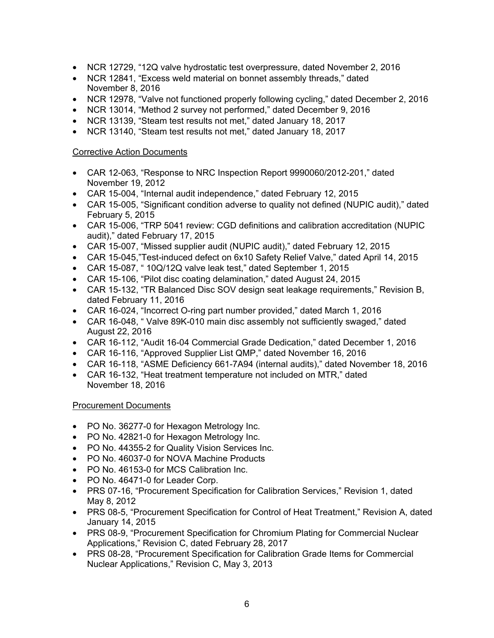- NCR 12729, "12Q valve hydrostatic test overpressure, dated November 2, 2016
- NCR 12841, "Excess weld material on bonnet assembly threads," dated November 8, 2016
- NCR 12978, "Valve not functioned properly following cycling," dated December 2, 2016
- NCR 13014, "Method 2 survey not performed," dated December 9, 2016
- NCR 13139, "Steam test results not met," dated January 18, 2017
- NCR 13140, "Steam test results not met," dated January 18, 2017

## Corrective Action Documents

- CAR 12-063, "Response to NRC Inspection Report 9990060/2012-201," dated November 19, 2012
- CAR 15-004, "Internal audit independence," dated February 12, 2015
- CAR 15-005, "Significant condition adverse to quality not defined (NUPIC audit)," dated February 5, 2015
- CAR 15-006, "TRP 5041 review: CGD definitions and calibration accreditation (NUPIC audit)," dated February 17, 2015
- CAR 15-007, "Missed supplier audit (NUPIC audit)," dated February 12, 2015
- CAR 15-045,"Test-induced defect on 6x10 Safety Relief Valve," dated April 14, 2015
- CAR 15-087, " 10Q/12Q valve leak test," dated September 1, 2015
- CAR 15-106, "Pilot disc coating delamination," dated August 24, 2015
- CAR 15-132, "TR Balanced Disc SOV design seat leakage requirements," Revision B, dated February 11, 2016
- CAR 16-024, "Incorrect O-ring part number provided," dated March 1, 2016
- CAR 16-048, " Valve 89K-010 main disc assembly not sufficiently swaged," dated August 22, 2016
- CAR 16-112, "Audit 16-04 Commercial Grade Dedication," dated December 1, 2016
- CAR 16-116, "Approved Supplier List QMP," dated November 16, 2016
- CAR 16-118, "ASME Deficiency 661-7A94 (internal audits)," dated November 18, 2016
- CAR 16-132, "Heat treatment temperature not included on MTR," dated November 18, 2016

## Procurement Documents

- PO No. 36277-0 for Hexagon Metrology Inc.
- PO No. 42821-0 for Hexagon Metrology Inc.
- PO No. 44355-2 for Quality Vision Services Inc.
- PO No. 46037-0 for NOVA Machine Products
- PO No. 46153-0 for MCS Calibration Inc.
- PO No. 46471-0 for Leader Corp.
- PRS 07-16, "Procurement Specification for Calibration Services," Revision 1, dated May 8, 2012
- PRS 08-5, "Procurement Specification for Control of Heat Treatment," Revision A, dated January 14, 2015
- PRS 08-9, "Procurement Specification for Chromium Plating for Commercial Nuclear Applications," Revision C, dated February 28, 2017
- PRS 08-28, "Procurement Specification for Calibration Grade Items for Commercial Nuclear Applications," Revision C, May 3, 2013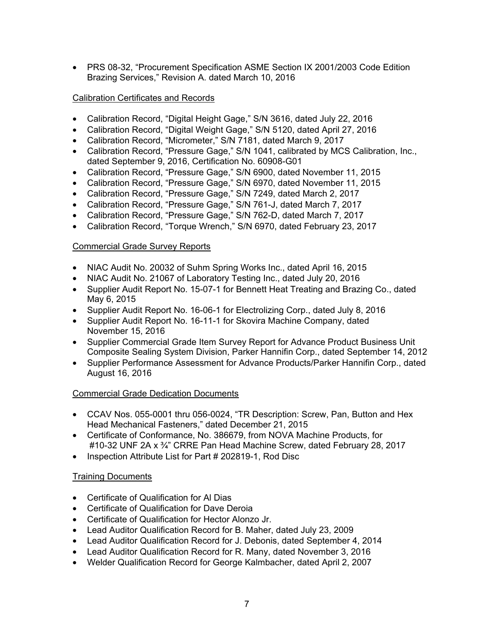• PRS 08-32, "Procurement Specification ASME Section IX 2001/2003 Code Edition Brazing Services," Revision A. dated March 10, 2016

## Calibration Certificates and Records

- Calibration Record, "Digital Height Gage," S/N 3616, dated July 22, 2016
- Calibration Record, "Digital Weight Gage," S/N 5120, dated April 27, 2016
- Calibration Record, "Micrometer," S/N 7181, dated March 9, 2017
- Calibration Record, "Pressure Gage," S/N 1041, calibrated by MCS Calibration, Inc., dated September 9, 2016, Certification No. 60908-G01
- Calibration Record, "Pressure Gage," S/N 6900, dated November 11, 2015
- Calibration Record, "Pressure Gage," S/N 6970, dated November 11, 2015
- Calibration Record, "Pressure Gage," S/N 7249, dated March 2, 2017
- Calibration Record, "Pressure Gage," S/N 761-J, dated March 7, 2017
- Calibration Record, "Pressure Gage," S/N 762-D, dated March 7, 2017
- Calibration Record, "Torque Wrench," S/N 6970, dated February 23, 2017

## Commercial Grade Survey Reports

- NIAC Audit No. 20032 of Suhm Spring Works Inc., dated April 16, 2015
- NIAC Audit No. 21067 of Laboratory Testing Inc., dated July 20, 2016
- Supplier Audit Report No. 15-07-1 for Bennett Heat Treating and Brazing Co., dated May 6, 2015
- Supplier Audit Report No. 16-06-1 for Electrolizing Corp., dated July 8, 2016
- Supplier Audit Report No. 16-11-1 for Skovira Machine Company, dated November 15, 2016
- Supplier Commercial Grade Item Survey Report for Advance Product Business Unit Composite Sealing System Division, Parker Hannifin Corp., dated September 14, 2012
- Supplier Performance Assessment for Advance Products/Parker Hannifin Corp., dated August 16, 2016

## Commercial Grade Dedication Documents

- CCAV Nos. 055-0001 thru 056-0024, "TR Description: Screw, Pan, Button and Hex Head Mechanical Fasteners," dated December 21, 2015
- Certificate of Conformance, No. 386679, from NOVA Machine Products, for #10-32 UNF 2A x ¾" CRRE Pan Head Machine Screw, dated February 28, 2017
- Inspection Attribute List for Part # 202819-1, Rod Disc

## Training Documents

- Certificate of Qualification for Al Dias
- Certificate of Qualification for Dave Deroia
- Certificate of Qualification for Hector Alonzo Jr.
- Lead Auditor Qualification Record for B. Maher, dated July 23, 2009
- Lead Auditor Qualification Record for J. Debonis, dated September 4, 2014
- Lead Auditor Qualification Record for R. Many, dated November 3, 2016
- Welder Qualification Record for George Kalmbacher, dated April 2, 2007